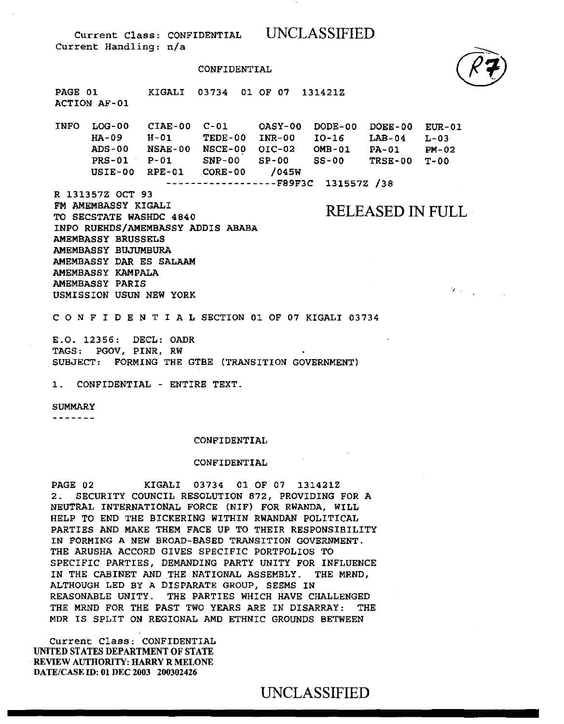CONFIDENTIAL



INFO LOG-00 CIAE-00 C-Ol OASY-00 HA-09 ADS-00 NSAE-00 NSCE-00 OIC-02 PRS-01 P-01 SNP-00 SP-00 USIE-00 RPE-01 CORE-00 /045W H-01 TEDE-00 INR-00 ------------------FB9F3C 131557Z /38 DODE-00 DOEE-00 EUR-01 IO-16 OMB-01 PA-01  $SS-00$  $LAB-04$   $L-03$ PM-02 TRSE-00 T-00

R 131357Z OCT 93

 $\mathbf{V}$  ,  $\mathbf{V}$ 

FM AMEMBASSY KIGALI TO SECSTATE WASHDC 4840 RELEASED IN FULL INPO RUEHDS/AMEMBASSY ADDIS ABABA AMEMBASSY BRUSSELS AMEMBASSY BUJUMBURA AMEMBASSY DAR ES SALAAM AMEMBASSY KAMPALA AMEMBASSY PARIS USMISSION USUN NEW YORK

C 0 N F I D E N T I A L SECTION 01 OF 07 KIGALI 03734

E.O. 12356: DECL: OADR TAGS: PGOV, PINR, RW SUBJECT: FORMING THE GTBE {TRANSITION GOVERNMENT)

1. CONFIDENTIAL - ENTIRE TEXT.

### SUMMARY

- - - - - - -

### CONFIDENTIAL

#### CONFIDENTIAL

PAGE 02 KIGALI 03734 01 OF 07 131421Z 2. SECURITY COUNCIL RESOLUTION 872, PROVIDING FOR A NEUTRAL INTERNATIONAL FORCE {NIF) FOR RWANDA, WILL HELP TO END THE BICKERING WITHIN RWANDAN POLITICAL PARTIES AND MAKE THEM FACE UP TO THEIR RESPONSIBILITY IN FORMING A NEW BROAD-BASED TRANSITION GOVERNMENT. THE ARUSHA ACCORD GIVES SPECIFIC PORTFOLIOS TO SPECIFIC PARTIES, DEMANDING PARTY UNITY FOR INFLUENCE IN THE CABINET AND THE NATIONAL ASSEMBLY. THE MRND, ALTHOUGH LED BY A DISPARATE GROUP, SEEMS IN REASONABLE UNITY. THE PARTIES WHICH HAVE CHALLENGED THE MRND FOR THE PAST TWO YEARS ARE IN DISARRAY: THE MDR IS SPLIT ON REGIONAL AMD ETHNIC GROUNDS BETWEEN

Current Class: CONFIDENTIAL UNITED STATES DEPARTMENT OF STATE REVIEW AUTHORITY: HARRY R MELONE DATE/CASE ID: 01 DEC 2003 200302426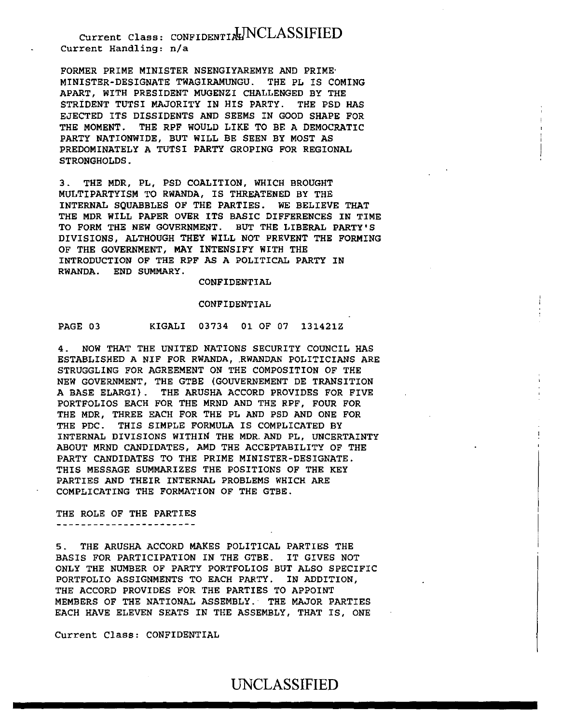FORMER PRIME MINISTER NSENGIYAREMYE AND PRIME· MINISTER-DESIGNATE TWAGIRAMUNGU. THE PL IS COMING APART, WITH PRESIDENT MUGENZI CHALLENGED BY THE STRIDENT TUTSI MAJORITY IN HIS PARTY. THE PSD HAS EJECTED ITS DISSIDENTS AND SEEMS IN GOOD SHAPE FOR THE MOMENT. THE RPF WOULD LIKE TO BE A DEMOCRATIC PARTY NATIONWIDE, BUT WILL BE SEEN BY MOST AS PREDOMINATELY A TUTSI PARTY GROPING FOR REGIONAL STRONGHOLDS.

3. THE MDR, PL, PSD COALITION, WHICH BROUGHT MULTIPARTYISM TO RWANDA, IS THREATENED BY THE INTERNAL SQUABBLES OF THE PARTIES. WE BELIEVE THAT THE MDR WILL PAPER OVER ITS BASIC DIFFERENCES IN TIME TO FORM THE NEW GOVERNMENT. BUT THE LIBERAL PARTY'S DIVISIONS, ALTHOUGH THEY WILL NOT PREVENT THE FORMING OF THE GOVERNMENT, MAY INTENSIFY WITH THE INTRODUCTION OF THE RPF AS A POLITICAL PARTY IN RWANDA. END SUMMARY.

CONFIDENTIAL

#### CONFIDENTIAL

## PAGE 03 KIGALI 03734 01 OF 07 131421Z

4. NOW THAT THE UNITED NATIONS SECURITY COUNCIL HAS ESTABLISHED A NIF FOR RWANDA, RWANDAN POLITICIANS ARE STRUGGLING FOR AGREEMENT ON THE COMPOSITION OF THE NEW GOVERNMENT, THE GTBE (GOUVERNEMENT DE TRANSITION A BASE ELARGI) . THE ARUSHA ACCORD PROVIDES FOR FIVE PORTFOLIOS EACH FOR THE MRND AND THE RPF, FOUR FOR THE MDR, THREE EACH FOR THE PL AND PSD AND ONE FOR THE PDC. THIS SIMPLE FORMULA IS COMPLICATED BY INTERNAL DIVISIONS WITHIN THE MDR.AND PL, UNCERTAINTY ABOUT MRND CANDIDATES, AMD THE ACCEPTABILITY OF THE PARTY CANDIDATES TO THE PRIME MINISTER-DESIGNATE. THIS MESSAGE SUMMARIZES THE POSITIONS OF THE KEY PARTIES AND THEIR INTERNAL PROBLEMS WHICH ARE COMPLICATING THE FORMATION OF THE GTBE.

### THE ROLE OF THE PARTIES -----------------------

5. THE ARUSHA ACCORD MAKES POLITICAL PARTIES THE BASIS FOR PARTICIPATION IN THE GTBE. IT GIVES NOT ONLY THE NUMBER OF PARTY PORTFOLIOS BUT ALSO SPECIFIC PORTFOLIO ASSIGNMENTS TO EACH PARTY. IN ADDITION, THE ACCORD PROVIDES FOR THE PARTIES TO APPOINT MEMBERS OF THE NATIONAL ASSEMBLY. THE MAJOR PARTIES EACH HAVE ELEVEN SEATS IN THE ASSEMBLY, THAT IS, ONE

Current Class: CONFIDENTIAL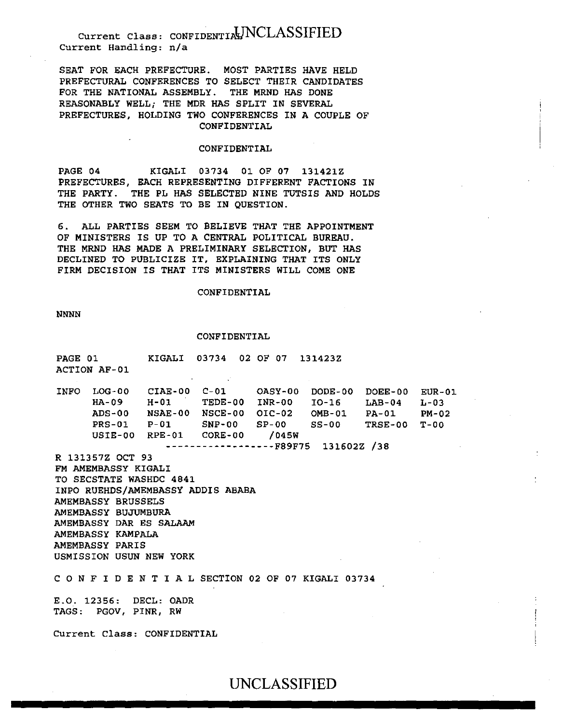SEAT FOR EACH PREFECTURE. MOST PARTIES HAVE HELD PREFECTURAL CONFERENCES TO SELECT THEIR CANDIDATES FOR THE NATIONAL ASSEMBLY. THE MRND HAS DONE REASONABLY WELL; THE MDR HAS SPLIT IN SEVERAL PREFECTURES, HOLDING TWO CONFERENCES IN A COUPLE OF CONFIDENTIAL

### CONFIDENTIAL

PAGE 04 KIGALI 03734 01 OF 07 131421Z PREFECTURES, EACH REPRESENTING DIFFERENT FACTIONS IN THE PARTY. THE PL HAS SELECTED NINE TUTSIS AND HOLDS THE OTHER TWO SEATS TO BE IN OUESTION.

6. ALL PARTIES SEEM TO BELIEVE THAT THE APPOINTMENT OF MINISTERS IS UP TO A CENTRAL POLITICAL BUREAU. THE MRND HAS MADE A PRELIMINARY SELECTION, BUT HAS DECLINED TO PUBLICIZE IT, EXPLAINING THAT ITS ONLY FIRM DECISION IS THAT ITS MINISTERS WILL COME ONE

#### CONFIDENTIAL

NNNN

PAGE 01

#### CONFIDENTIAL

 $K T G N T T$  03734 02.07.07.131433Z

| PAGE UI DIRE<br>ACTION AF-01                                                                                                                                                                                  | <b>KIGHTT</b> | US/34 UZUPU/ L314Z3Z                                                                                                                                                                                                                                                     |  |        |
|---------------------------------------------------------------------------------------------------------------------------------------------------------------------------------------------------------------|---------------|--------------------------------------------------------------------------------------------------------------------------------------------------------------------------------------------------------------------------------------------------------------------------|--|--------|
|                                                                                                                                                                                                               |               | INFO LOG-00 CIAE-00 C-01 OASY-00 DODE-00 DOEE-00 EUR-01<br>HA-09 H-01 TEDE-00 INR-00 IO-16 LAB-04 L-03<br>ADS-00 NSAE-00 NSCE-00 OIC-02 OMB-01 PA-01 PM-02<br>PRS-01 P-01 SNP-00 SP-00 SS-00 TRSE-00<br>USIE-00 RPE-01 CORE-00 /045W<br>$------------F89F75 131602Z /38$ |  | $T-00$ |
| R 131357Z OCT 93<br>FM AMEMBASSY KIGALI<br>TO SECSTATE WASHDC 4841<br>AMEMBASSY BRUSSELS<br>AMEMBASSY BUJUMBURA<br>AMEMBASSY DAR ES SALAAM<br>AMEMBASSY KAMPALA<br>AMEMBASSY PARIS<br>USMISSION USUN NEW YORK |               | INPO RUEHDS/AMEMBASSY ADDIS ABABA<br>CONFIDENTIAL SECTION 02 OF 07 KIGALI 03734                                                                                                                                                                                          |  |        |
| E.O. 12356: DECL: OADR<br>TAGS: PGOV, PINR, RW                                                                                                                                                                |               |                                                                                                                                                                                                                                                                          |  |        |
| Current Class: CONFIDENTIAL                                                                                                                                                                                   |               |                                                                                                                                                                                                                                                                          |  |        |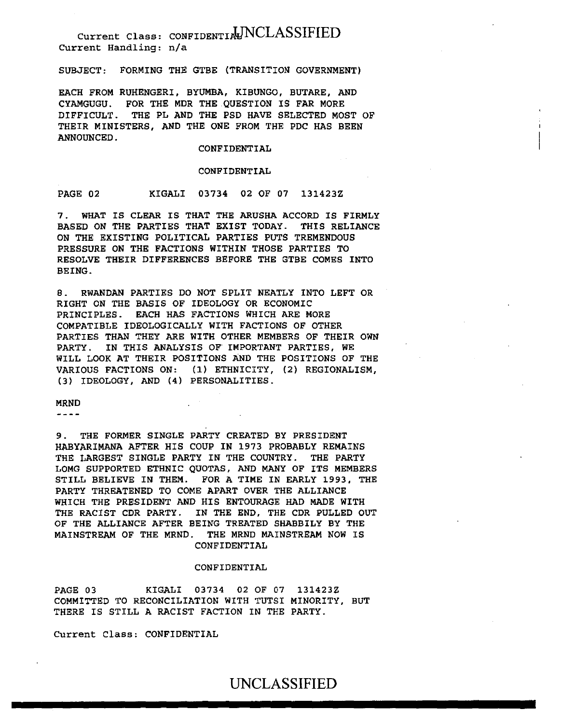SUBJECT: FORMING THE GTBE (TRANSITION GOVERNMENT)

EACH FROM RUHENGERI, BYUMBA, KIBUNGO, BUTARE, AND CYAMGUGU. FOR THE MDR THE QUESTION IS FAR MORE DIFFICULT. THE PL AND THE PSD HAVE SELECTED MOST OF THEIR MINISTERS, AND THE ONE FROM THE PDC HAS BEEN ANNOUNCED.

### CONFIDENTIAL

#### CONFIDENTIAL

PAGE 02 KIGALI 03734 02 OF 07 131423Z

7. WHAT IS CLEAR IS THAT THE ARUSHA ACCORD IS FIRMLY BASED ON THE PARTIES THAT EXIST TODAY. THIS RELIANCE ON THE EXISTING POLITICAL PARTIES PUTS TREMENDOUS PRESSURE ON THE FACTIONS WITHIN THOSE PARTIES TO RESOLVE THEIR DIFFERENCES BEFORE THE GTBE COMES INTO BEING.

8. RWANDAN PARTIES DO NOT SPLIT NEATLY INTO LEFT OR RIGHT ON THE BASIS OF IDEOLOGY OR ECONOMIC PRINCIPLES. EACH HAS FACTIONS WHICH ARE MORE COMPATIBLE IDEOLOGICALLY WITH FACTIONS OF OTHER PARTIES THAN THEY ARE WITH OTHER MEMBERS OF THEIR OWN PARTY. IN THIS ANALYSIS OF IMPORTANT PARTIES, WE WILL LOOK AT THEIR POSITIONS AND THE POSITIONS OF THE VARIOUS FACTIONS ON: (1) ETHNICITY, (2) REGIONALISM, (3) IDEOLOGY, AND (4) PERSONALITIES.

MRND

 $\frac{1}{2}$ 

9. THE FORMER SINGLE PARTY CREATED BY PRESIDENT HABYARIMANA AFTER HIS COUP IN 1973 PROBABLY REMAINS THE LARGEST SINGLE PARTY IN THE COUNTRY. THE PARTY LOMG SUPPORTED ETHNIC QUOTAS, AND MANY OF ITS MEMBERS STILL BELIEVE IN THEM. FOR A TIME IN EARLY 1993, THE PARTY THREATENED TO COME APART OVER THE ALLIANCE WHICH THE PRESIDENT AND HIS ENTOURAGE HAD MADE WITH THE RACIST CDR PARTY. IN THE END, THE CDR PULLED OUT OF THE ALLIANCE AFTER BEING TREATED SHABBILY BY THE MAINSTREAM OF THE MRND. THE MRND MAINSTREAM NOW IS CONFIDENTIAL

## CONFIDENTIAL

PAGE 03 KIGALI 03734 02 OF 07 131423Z COMMITTED TO RECONCILIATION WITH TUTSI MINORITY, BUT THERE IS STILL A RACIST FACTION IN THE PARTY.

Current Class: CONFIDENTIAL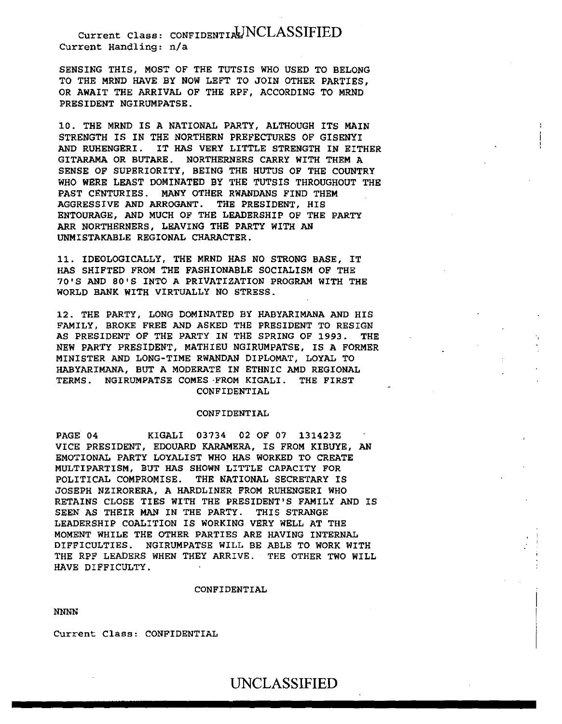SENSING THIS, MOST OF THE TUTSIS WHO USED TO BELONG TO THE MRND HAVE BY NOW LEFT TO JOIN OTHER PARTIES, OR AWAIT THE ARRIVAL OF THE RPF, ACCORDING TO MRND PRESIDENT NGIRUMPATSE.

10. THE MRND IS A NATIONAL PARTY, ALTHOUGH ITS MAIN STRENGTH IS IN THE NORTHERN PREFECTURES OF GISENYI AND RUHENGERI. IT HAS VERY LITTLE STRENGTH IN EITHER GITARAMA OR BUTARE. NORTHERNERS CARRY WITH THEM A SENSE OF SUPERIORITY, BEING THE HUTUS OF THE COUNTRY WHO WERE LEAST DOMINATED BY THE TUTSIS THROUGHOUT THE PAST CENTURIES. MANY OTHER RWANDANS FIND THEM AGGRESSIVE AND ARROGANT. THE PRESIDENT, HIS ENTOURAGE, AND MUCH OF THE LEADERSHIP OF THE PARTY ARR NORTHERNERS, LEAVING THE PARTY WITH AN UNMISTAKABLE REGIONAL CHARACTER.

11. IDEOLOGICALLY, THE MRND HAS NO STRONG BASE, IT HAS SHIFTED FROM THE FASHIONABLE SOCIALISM OF THE 70'S AND 80'S INTO A PRIVATIZATION PROGRAM WITH THE WORLD BANK WITH VIRTUALLY NO STRESS.

12. THE PARTY, LONG DOMINATED BY HABYARIMANA AND HIS FAMILY, BROKE FREE AND ASKED THE PRESIDENT TO RESIGN AS PRESIDENT OF THE PARTY IN THE SPRING OF 1993. THE NEW PARTY PRESIDENT, MATHIEU NGIRUMPATSE, IS A FORMER MINISTER AND LONG-TIME RWANDAN DIPLOMAT, LOYAL TO HABYARIMANA, BUT A MODERATE IN ETHNIC AMD REGIONAL TERMS. NGIRUMPATSE COMES ·FROM KIGALI. THE FIRST CONFIDENTIAL

### CONFIDENTIAL

PAGE 04 KIGALI 03734 02 OF 07 131423Z VICE PRESIDENT, EDOUARD KARAMERA, IS FROM KIBUYE, AN EMOTIONAL PARTY LOYALIST WHO HAS WORKED TO CREATE MULTIPARTISM, BUT HAS SHOWN LITTLE CAPACITY FOR POLITICAL COMPROMISE. THE NATIONAL SECRETARY IS JOSEPH NZIRORERA, A HARDLINER FROM RUHENGERI WHO RETAINS CLOSE TIES WITH THE PRESIDENT'S FAMILY AND IS SEEN AS THEIR MAN IN THE PARTY. THIS STRANGE LEADERSHIP COALITION IS WORKING VERY WELL AT THE MOMENT WHILE THE OTHER PARTIES ARE HAVING INTERNAL DIFFICULTIES. NGIRUMPATSE WILL BE ABLE TO WORK WITH THE RPF LEADERS WHEN THEY ARRIVE. THE OTHER TWO WILL HAVE DIFFICULTY.

#### CONFIDENTIAL

NNNN

Current Class: CONFIDENTIAL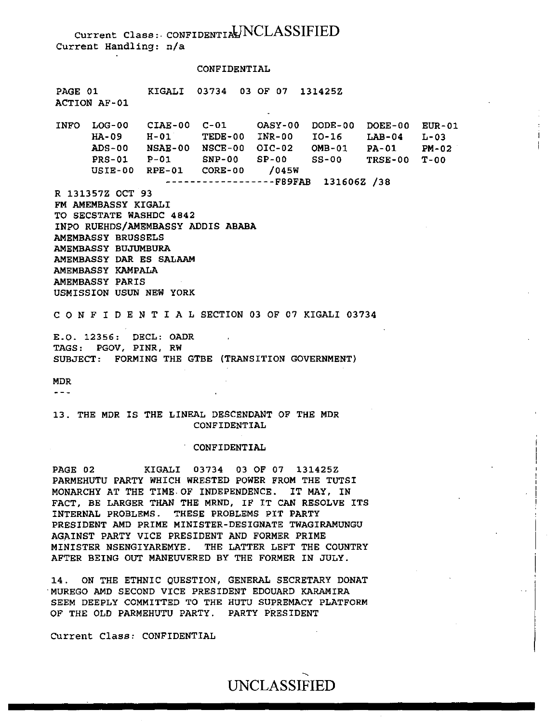CONFIDENTIAL

PAGE 01 ACTION AF-01 KIGALI 03734 03 OF 07 13142SZ INFO LOG-00 HA-09 ADS-00 NSAE-00 NSCE-00 OIC-02 OMB-01 PA-01 PM-02 PRS-01 USIE-00 RPE-01 CORE-DO /045W CIAE-00 C-01 OASY-00 DODE-00 DOEE-00 EUR-01 H-01 TEDE-00 INR-00 IO-16 P-01 SNP-00 SP-00 SS-00 TRSE-00 T-OO ------------------FB9FAB 131606Z /38 R 131357Z OCT 93 FM AMEMBASSY KIGALI  $LAB-04$   $L-03$ 

TO SECSTATE WASHDC 4842 INPO RUEHDS/AMEMBASSY ADDIS ABABA AMEMBASSY BRUSSELS AMEMBASSY BUJUMBURA AMEMBASSY DAR ES SALAAM AMEMBASSY KAMPALA AMEMBASSY PARIS USMISSION USUN NEW YORK

C 0 N F I D E N T I A L SECTION 03 OF 07 KIGALI 03734

E.O. 12356: DECL: OADR TAGS: PGOV, PINR, RW SUBJECT: FORMING THE GTBE (TRANSITION GOVERNMENT)

MDR

 $- - -$ 

13. THE MDR IS THE LINEAL DESCENDANT OF THE MDR CONFIDENTIAL

### CONFIDENTIAL

PAGE 02 KIGALI 03734 03 OF 07 l3l425Z PARMEHUTU PARTY WHICH WRESTED POWER FROM THE TUTSI MONARCHY AT THE TIME-OF INDEPENDENCE. IT MAY, IN FACT, BE LARGER THAN THE MRND, IF IT CAN RESOLVE ITS INTERNAL PROBLEMS. THESE PROBLEMS PIT PARTY PRESIDENT AMD PRIME MINISTER-DESIGNATE TWAGIRAMUNGU AGAINST PARTY VICE PRESIDENT AND FORMER PRIME MINISTER NSENGIYAREMYE. THE LATTER LEFT THE COUNTRY AFTER BEING OUT MANEUVERED BY THE FORMER IN JULY.

14. ON THE ETHNIC QUESTION, GENERAL SECRETARY DONAT "MUREGO AMD SECOND VICE PRESIDENT EDOUARD KARAMIRA SEEM DEEPLY COMMITTED TO THE HUTU SUPREMACY PLATFORM OF THE OLD PARMEHUTU PARTY. PARTY PRESIDENT

Current Class: CONFIDENTIAL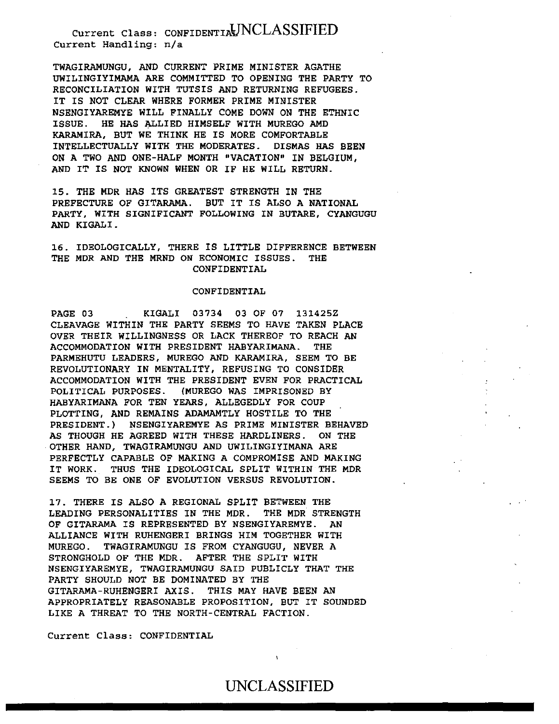TWAGIRAMUNGU, AND CURRENT PRIME MINISTER AGATHE UWILINGIYIMAMA ARE COMMITTED TO OPENING THE PARTY TO RECONCILIATION WITH TUTSIS AND RETURNING REFUGEES. IT IS NOT CLEAR WHERE FORMER PRIME MINISTER NSENGIYAREMYE WILL FINALLY COME DOWN ON THE ETHNIC ISSUE. HE HAS ALLIED HIMSELF WITH MUREGO AMD KARAMIRA, BUT WE THINK HE IS MORE COMFORTABLE INTELLECTUALLY WITH THE MODERATES. DISMAS HAS BEEN ON A TWO AND ONE-HALF MONTH "VACATION" IN BELGIUM, AND IT IS NOT KNOWN WHEN OR IF HE WILL RETURN.

15. THE MDR HAS ITS GREATEST STRENGTH IN THE PREFECTURE OF GITARAMA. BUT IT IS ALSO A NATIONAL PARTY, WITH SIGNIFICANT FOLLOWING IN BUTARE, CYANGUGU AND KIGALI.

16. IDEOLOGICALLY, THERE IS LITTLE DIFFERENCE BETWEEN THE MDR AND THE MRND ON ECONOMIC ISSUES. THE CONFIDENTIAL

### CONFIDENTIAL

PAGE 03 KIGALI 03734 03 OF 07 13142SZ CLEAVAGE WITHIN THE PARTY SEEMS TO HAVE TAKEN PLACE OVER THEIR WILLINGNESS OR LACK THEREOF TO REACH AN ACCOMMODATION WITH PRESIDENT HABYARIMANA. THE PARMEHUTU LEADERS, MUREGO AND KARAMIRA, SEEM TO BE REVOLUTIONARY IN MENTALITY, REFUSING TO CONSIDER ACCOMMODATION WITH THE PRESIDENT EVEN FOR PRACTICAL POLITICAL PURPOSES. (MUREGO WAS IMPRISONED BY HABYARIMANA FOR TEN YEARS, ALLEGEDLY FOR COUP PLOTTING, AND REMAINS ADAMAMTLY HOSTILE TO THE PRESIDENT.) NSENGIYAREMYE AS PRIME MINISTER BEHAVED AS THOUGH HE AGREED WITH THESE HARDLINERS. ON THE OTHER HAND, TWAGIRAMUNGU AND UWILINGIYIMANA ARE PERFECTLY CAPABLE OF MAKING A COMPROMISE AND MAKING IT WORK. THUS THE IDEOLOGICAL SPLIT WITHIN THE MDR SEEMS TO BE ONE OF EVOLUTION VERSUS REVOLUTION.

17. THERE IS ALSO A REGIONAL SPLIT BETWEEN THE LEADING PERSONALITIES IN THE MDR. THE MDR STRENGTH OF GITARAMA IS REPRESENTED BY NSENGIYAREMYE. AN ALLIANCE WITH RUHENGERI BRINGS HIM TOGETHER WITH MUREGO. TWAGIRAMUNGU IS FROM CYANGUGU, NEVER A STRONGHOLD OF THE MDR. AFTER THE SPLIT WITH NSENGIYAREMYE, TWAGIRAMUNGU SAID PUBLICLY THAT THE PARTY SHOULD NOT BE DOMINATED BY THE GITARAMA-RUHENGERI AXIS. THIS MAY HAVE BEEN AN APPROPRIATELY REASONABLE PROPOSITION, BUT IT SOUNDED LIKE A THREAT TO THE NORTH-CENTRAL FACTION.

Current Class: CONFIDENTIAL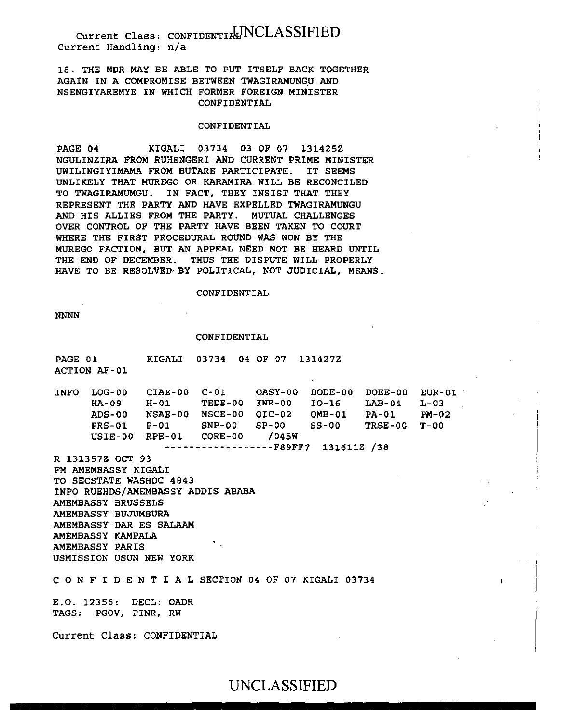18. THE MDR MAY BE ABLE TO PUT ITSELF BACK TOGETHER AGAIN IN A COMPROMISE BETWEEN TWAGIRAMUNGU AND NSENGIYAREMYE IN WHICH FORMER FOREIGN MINISTER CONFIDENTIAL

#### CONFIDENTIAL

PAGE 04 KIGALI 03734 03 OF 07 131425Z NGULINZIRA FROM RUHENGERI AND CURRENT PRIME MINISTER UWILINGIYIMAMA FROM BUTARE PARTICIPATE. IT SEEMS UNLIKELY THAT MUREGO OR KARAMIRA WILL BE RECONCILED TO TWAGIRAMUMGU. IN FACT, THEY INSIST THAT THEY REPRESENT THE PARTY AND HAVE EXPELLED TWAGIRAMUNGU AND HIS ALLIES FROM THE PARTY. MUTUAL CHALLENGES OVER CONTROL OF THE PARTY HAVE BEEN TAKEN TO COURT WHERE THE FIRST PROCEDURAL ROUND WAS WON BY THE MUREGO FACTION, BUT AN APPEAL NEED NOT BE HEARD UNTIL THE END OF DECEMBER. THUS THE DISPUTE WILL PROPERLY HAVE TO BE RESOLVED· BY POLITICAL, NOT JUDICIAL, MEANS.

#### CONFIDENTIAL

NNNN

#### CONFIDENTIAL

PAGE 01 ACTION AF-01 KIGALI 03734 04 OF 07 131427Z

INFO LOG-00 CIAE-00 C-Ol OASY-00 DODE-00 DOEE-00 EUR-01 HA-09 H-01 TEDE-00 INR-00 I0-16 LAB-04 L-03 ADS-00 NSAE-00 NSCE-00 OIC-02 PRS-01 P-Ol SNP-00 SP-00 USIE-00 RPE-01 CORE-00 /045W OMB-01 SS-00 PA-01 TRSE-00 T-00 PM-02

------------------F89FF7 131611Z /38

R 131357Z OCT 93

FM AMEMBASSY KIGALI TO SECSTATE WASHDC 4843 INPO RUEHDS/AMEMBASSY ADDIS ABABA AMEMBASSY BRUSSELS AMEMBASSY BUJUMBURA AMEMBASSY DAR ES SALAAM AMEMBASSY KAMPALA AMEMBASSY PARIS USMISSION USUN NEW YORK

*C* 0 N F I D E N T I A L SECTION 04 OF 07 KIGALI 03734

E.O. 12356: DECL: OADR TAGS: PGOV, PINR, RW

Current Class: CONFIDENTIAL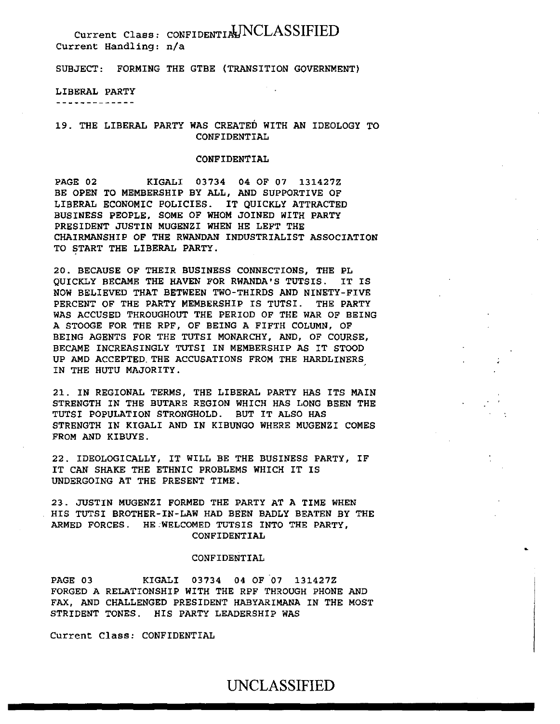SUBJECT: FORMING THE GTBE (TRANSITION GOVERNMENT)

LIBERAL PARTY

-------------

19. THE LIBERAL PARTY WAS CREATED WITH AN IDEOLOGY TO CONFIDENTIAL

### CONFIDENTIAL

PAGE 02 KIGALI 03734 04 OF 07 131427Z BE OPEN TO MEMBERSHIP BY ALL, AND SUPPORTIVE OF LIBERAL ECONOMIC POLICIES. IT QUICKLY ATTRACTED BUSINESS PEOPLE, SOME OF WHOM JOINED WITH PARTY PRESIDENT JUSTIN MUGENZI WHEN HE LEFT THE CHAIRMANSHIP OF THE RWANDAN INDUSTRIALIST ASSOCIATION TO START THE LIBERAL PARTY.

20. BECAUSE OF THEIR BUSINESS CONNECTIONS, THE PL QUICKLY BECAME THE HAVEN FOR RWANDA'S TUTSIS. IT IS NOW BELIEVED THAT BETWEEN TWO-THIRDS AND NINETY-FIVE PERCENT OF THE PARTY MEMBERSHIP IS TUTSI. THE PARTY WAS ACCUSED THROUGHOUT THE PERIOD OF THE WAR OF BEING A STOOGE FOR THE RPF, OF BEING A FIFTH COLUMN, OF BEING AGENTS FOR THE TUTSI MONARCHY, AND, OF COURSE, BECAME INCREASINGLY TUTSI IN MEMBERSHIP AS IT STOOD UP AMD ACCEPTED. THE ACCUSATIONS FROM THE HARDLINERS IN THE HUTU MAJORITY.

21. IN REGIONAL TERMS, THE LIBERAL PARTY HAS ITS MAIN STRENGTH IN THE BUTARE REGION WHICH HAS LONG BEEN THE TUTSI POPULATION STRONGHOLD. BUT IT ALSO HAS STRENGTH IN KIGALI AND IN KIBUNGO WHERE MUGENZI COMES FROM AND KIBUYE.

22. IDEOLOGICALLY, IT WILL BE THE BUSINESS PARTY, IF IT CAN SHAKE THE ETHNIC PROBLEMS WHICH IT IS UNDERGOING AT THE PRESENT TIME.

23. JUSTIN MUGENZI FORMED THE PARTY AT A TIME WHEN HIS TUTSI BROTHER-IN-LAW HAD BEEN BADLY BEATEN BY THE ARMED FORCES. HE-WELCOMED TUTSIS INTO THE PARTY, CONFIDENTIAL

### CONFIDENTIAL

PAGE 03 KIGALI 03734 04 OF 07 131427Z FORGED A RELATIONSHIP WITH THE RPF THROUGH PHONE AND FAX, AND CHALLENGED PRESIDENT HABYARIMANA IN THE MOST STRIDENT TONES. HIS PARTY LEADERSHIP WAS

Current Class: CONFIDENTIAL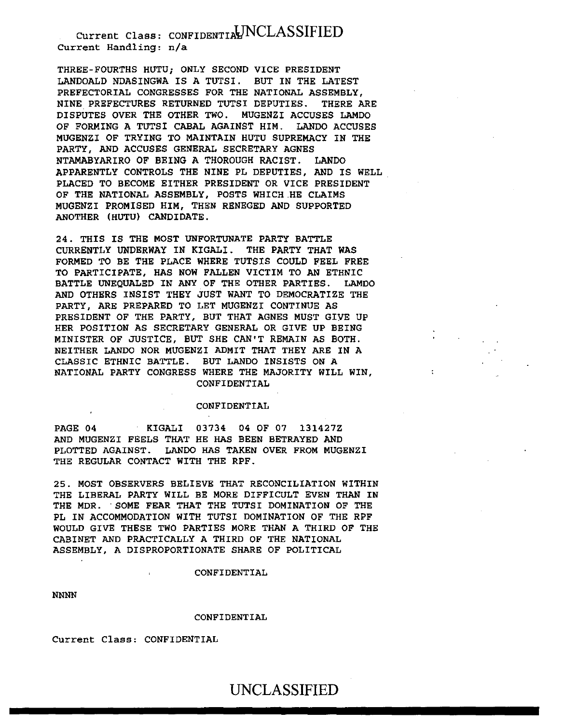THREE-FOURTHS HUTU; ONLY SECOND VICE PRESIDENT LANDOALD NDASINGWA IS A TUTSI. BUT IN THE LATEST PREFECTORIAL CONGRESSES FOR THE NATIONAL ASSEMBLY, NINE PREFECTURES RETURNED TUTSI DEPUTIES. THERE ARE DISPUTES OVER THE OTHER TWO. MUGENZI ACCUSES LAMDO OF FORMING A TUTSI CABAL AGAINST HIM. LANDO ACCUSES MUGENZI OF TRYING TO MAINTAIN HUTU SUPREMACY IN THE PARTY, AND ACCUSES GENERAL SECRETARY AGNES NTAMABYARIRO OF BEING A THOROUGH RACIST. LANDO APPARENTLY CONTROLS THE NINE PL DEPUTIES, AND IS WELL PLACED TO BECOME EITHER PRESIDENT OR VICE PRESIDENT OF THE NATIONAL ASSEMBLY, POSTS WHICH.HE CLAIMS MUGENZI PROMISED HIM, THEN RENEGED AND SUPPORTED ANOTHER (HUTU) CANDIDATE.

24. THIS IS THE MOST UNFORTUNATE PARTY BATTLE CURRENTLY UNDERWAY IN KIGALI. THE PARTY THAT WAS FORMED TO BE THE PLACE WHERE TUTSIS COULD FEEL FREE TO PARTICIPATE, HAS NOW FALLEN VICTIM TO AN ETHNIC BATTLE UNEQUALED IN ANY OF THE OTHER PARTIES. LAMDO AND OTHERS INSIST THEY JUST WANT TO DEMOCRATIZE THE PARTY, ARE PREPARED TO LET MUGENZI CONTINUE AS PRESIDENT OF THE PARTY, BUT THAT AGNES MUST GIVE UP HER POSITION AS SECRETARY GENERAL OR GIVE UP BEING MINISTER OF JUSTICE, BUT SHE CAN'T REMAIN AS BOTH. NEITHER LANDO NOR MUGENZI ADMIT THAT THEY ARE IN A CLASSIC ETHNIC BATTLE. BUT LANDO INSISTS ON A NATIONAL PARTY CONGRESS WHERE THE MAJORITY WILL WIN, CONFIDENTIAL

### CONFIDENTIAL

PAGE 04 KIGALI 03734 04 OF 07 131427Z AND MUGENZI FEELS THAT HE HAS BEEN BETRAYED AND PLOTTED AGAINST. LANDO HAS TAKEN OVER FROM MUGENZI THE REGULAR CONTACT WITH THE RPF.

25. MOST OBSERVERS BELIEVE THAT RECONCILIATION WITHIN THE LIBERAL PARTY WILL BE MORE DIFFICULT EVEN THAN IN THE MDR. SOME FEAR THAT THE TUTSI DOMINATION OF THE PL IN ACCOMMODATION WITH TUTSI DOMINATION OF THE RPF WOULD GIVE THESE TWO PARTIES MORE THAN A THIRD OF THE CABINET AND PRACTICALLY A THIRD OF THE NATIONAL ASSEMBLY, A DISPROPORTIONATE SHARE OF POLITICAL

### CONFIDENTIAL

NNNN

#### CONFIDENTIAL

Current Class: CONFIDENTIAL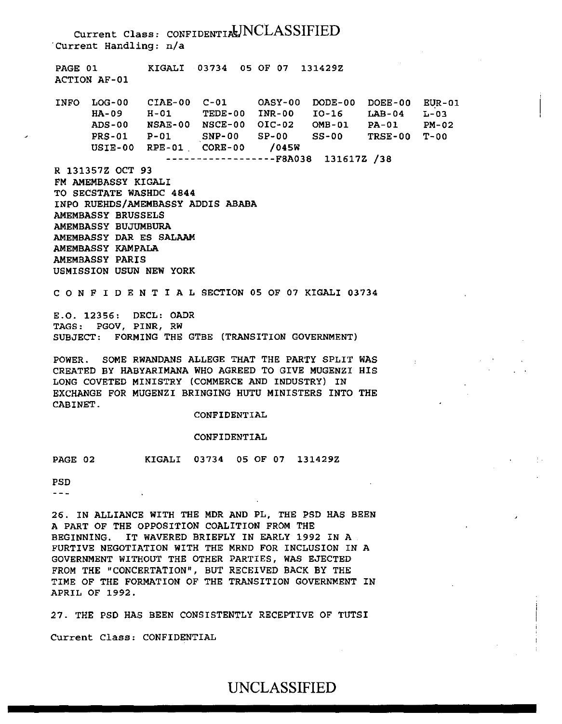Current Class: CONFIDENTIAUNCLASSIFIED ·current Handling: n/a PAGE 01 KIGALI 03734 05 OF 07 131429Z ACTION AF-01 INFO LOG-00 CIAE-00 C-Ol OASY-00 DODE-00 DOEE-00 EUR-01 HA-09 H-01 TEDE-00 INR-00 I0-16 LAB-04 L-03 ADS-00 NSAE-00 NSCE-00 OIC-02 OMB-01 PA-01 PM-02 PRS-01 P-Ol SNP-00 SP-00 SS-00 TRSE-00 T-00 USIE-00 RPE-01 . CORE-00 /045W ------------------FBA038 131617Z /38 R 131357Z OCT 93 FM AMEMBASSY KIGALI TO SECSTATE WASHDC 4844 INPO RUEHDS/AMEMBASSY ADDIS ABABA AMEMBASSY BRUSSELS AMEMBASSY BUJUMBURA AMEMBASSY DAR ES SALAAM AMEMBASSY KAMPALA AMEMBASSY PARIS USMISSION USUN NEW YORK C 0 N F I D E N T I A L SECTION 05 OF 07 KIGALI 03734 E.O. 12356: DECL: OADR TAGS: PGOV, PINR, RW SUBJECT: FORMING THE GTBE (TRANSITION GOVERNMENT) POWER. SOME RWANDANS ALLEGE THAT THE PARTY SPLIT WAS CREATED BY HABYARIMANA WHO AGREED TO GIVE MUGENZI HIS LONG COVETED MINISTRY (COMMERCE AND INDUSTRY) IN EXCHANGE FOR MUGENZI BRINGING HUTU MINISTERS INTO THE CABINET. CONFIDENTIAL CONFIDENTIAL PAGE 02 KIGALI 03734 05 OF 07 131429Z PSD  $- - -$ 26. IN ALLIANCE WITH THE MDR AND PL, THE PSD HAS BEEN A PART OF THE OPPOSITION COALITION FROM THE BEGINNING. IT WAVERED BRIEFLY IN EARLY 1992 IN A FURTIVE NEGOTIATION WITH THE MRND FOR INCLUSION IN A GOVERNMENT WITHOUT THE OTHER PARTIES, WAS EJECTED FROM THE "CONCERTATION", BUT RECEIVED BACK BY THE TIME OF THE FORMATION OF THE TRANSITION GOVERNMENT IN

27. THE PSD HAS BEEN CONSISTENTLY RECEPTIVE OF TUTSI

Current Class: CONFIDENTIAL

APRIL OF 1992.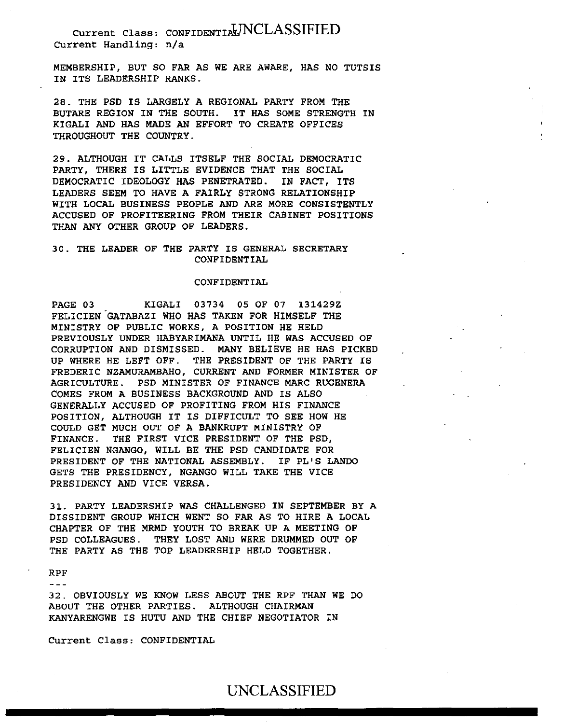MEMBERSHIP, BUT SO FAR AS WE ARE AWARE, HAS NO TUTSIS IN ITS LEADERSHIP RANKS.

28. THE PSD IS LARGELY A REGIONAL PARTY FROM THE BUTARE REGION IN THE SOUTH. IT HAS SOME STRENGTH IN KIGALI AND HAS MADE AN EFFORT TO CREATE OFFICES THROUGHOUT THE COUNTRY.

29. ALTHOUGH IT CALLS ITSELF THE SOCIAL DEMOCRATIC PARTY, THERE IS LITTLE EVIDENCE THAT THE SOCIAL DEMOCRATIC IDEOLOGY HAS PENETRATED. IN FACT, ITS LEADERS SEEM TO HAVE A FAIRLY STRONG RELATIONSHIP WITH LOCAL BUSINESS PEOPLE AND ARE MORE CONSISTENTLY ACCUSED OF PROFITEERING FROM THEIR CABINET POSITIONS THAN ANY OTHER GROUP OF LEADERS.

## 30. THE LEADER OF THE PARTY IS GENERAL SECRETARY CONFIDENTIAL

### CONFIDENTIAL

PAGE 03 KIGALI 03734 05 OF 07 131429Z FELICIEN.GATABAZI WHO HAS TAKEN FOR HIMSELF THE MINISTRY OF PUBLIC WORKS, A POSITION HE HELD PREVIOUSLY UNDER HABYARIMANA UNTIL HE WAS ACCUSED OF CORRUPTION AND DISMISSED. MANY BELIEVE HE HAS PICKED UP WHERE HE LEFT OFF. THE PRESIDENT OF THE PARTY IS FREDERIC NZAMURAMBAHO, CURRENT AND FORMER MINISTER OF AGRICULTURE. PSD MINISTER OF FINANCE MARC RUGENERA COMES FROM A BUSINESS BACKGROUND AND IS ALSO GENERALLY ACCUSED OF PROFITING FROM HIS FINANCE POSITION, ALTHOUGH IT IS DIFFICULT TO SEE HOW HE COULD GET MUCH OUT OF A BANKRUPT MINISTRY OF FINANCE. THE FIRST VICE PRESIDENT OF THE PSD, FELICIEN NGANGO, WILL BE THE PSD CANDIDATE FOR PRESIDENT OF THE NATIONAL ASSEMBLY. IF PL'S LANDO GETS THE PRESIDENCY, NGANGO WILL TAKE THE VICE PRESIDENCY AND VICE VERSA.

31. PARTY LEADERSHIP WAS CHALLENGED IN SEPTEMBER BY A DISSIDENT GROUP WHICH WENT SO FAR AS TO HIRE A LOCAL CHAPTER OF THE MRMD YOUTH TO BREAK UP A MEETING OF PSD COLLEAGUES. THEY LOST AND WERE DRUMMED OUT OF THE PARTY AS THE TOP LEADERSHIP HELD TOGETHER.

#### RPF

 $- - -$ 

32. OBVIOUSLY WE KNOW LESS ABOUT THE RPF THAN WE DO ABOUT THE OTHER PARTIES. ALTHOUGH CHAIRMAN KANYARENGWE IS HUTU AND THE CHIEF NEGOTIATOR IN

Current Class: CONFIDENTIAL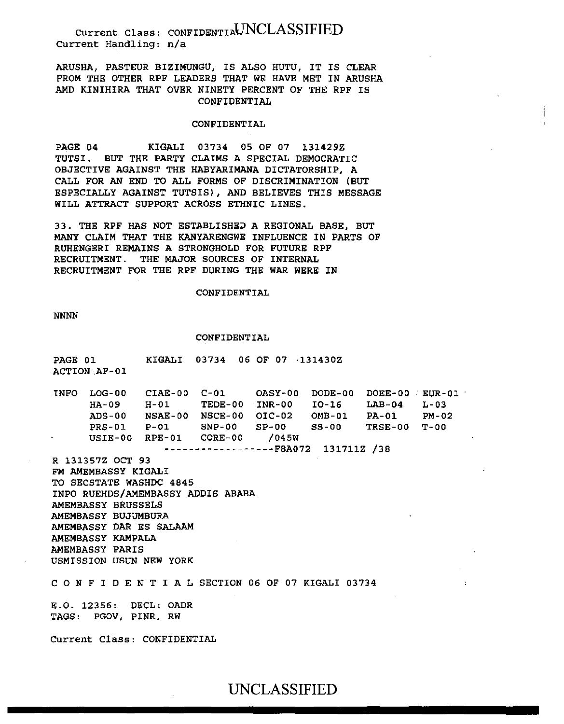ARUSHA, PASTEUR BIZIMUNGU, IS ALSO HUTU, IT IS CLEAR FROM THE OTHER RPF LEADERS THAT WE HAVE MET IN ARUSHA AMD KINIHIRA THAT OVER NINETY PERCENT OF THE RPF IS CONFIDENTIAL

#### CONFIDENTIAL

PAGE 04 KIGALI 03734 05 OF 07 131429Z TUTSI. BUT THE PARTY CLAIMS A SPECIAL DEMOCRATIC OBJECTIVE AGAINST THE HABYARIMANA DICTATORSHIP, A CALL FOR AN END TO ALL FORMS OF DISCRIMINATION (BUT ESPECIALLY AGAINST TUTSIS), AND BELIEVES THIS MESSAGE WILL ATTRACT SUPPORT ACROSS ETHNIC LINES.

33. THE RPF HAS NOT ESTABLISHED A REGIONAL BASE, BUT MANY CLAIM THAT THE KANYARENGWE INFLUENCE IN PARTS OF RUHENGERI REMAINS A STRONGHOLD FOR FUTURE RPF RECRUITMENT. THE MAJOR SOURCES OF INTERNAL RECRUITMENT FOR THE RPF DURING THE WAR WERE IN

### CONFIDENTIAL

NNNN

#### CONFIDENTIAL

PAGE 01 ACTION.AF-01 KIGALI 03734 06 OF 07 ·131430Z

INFO LOG-00 CIAE-00 HA-09 ADS-00 NSAE-00 NSCE-00 OIC-02 PRS-01 P-Ol SNP-00 SP-00 USIE-00 RPE-01 CORE-00 /045W H-01 TEDE-00 INR-00 C-Ol OASY-00 DODE-00 DOEE-00 . EUR-01 I0-16 OMB-01 SS-00 TRSE-00 T-00 LAB-04 PA-01 L-03 PM-02

------------------F8A072 131711Z /38

R 131357Z OCT 93 FM AMEMBASSY KIGALI TO SECSTATE WASHDC 4845 INPO RUEHDS/AMEMBASSY ADDIS ABABA AMEMBASSY BRUSSELS AMEMBASSY BUJUMBURA AMEMBASSY DAR ES SALAAM AMEMBASSY KAMPALA AMEMBASSY PARIS USMISSION USUN NEW YORK

C 0 N F I D E N T I A L SECTION 06 OF 07 KIGALI 03734

E.O. 12356: DECL: OADR TAGS: PGOV, PINR, RW

Current Class: CONFIDENTIAL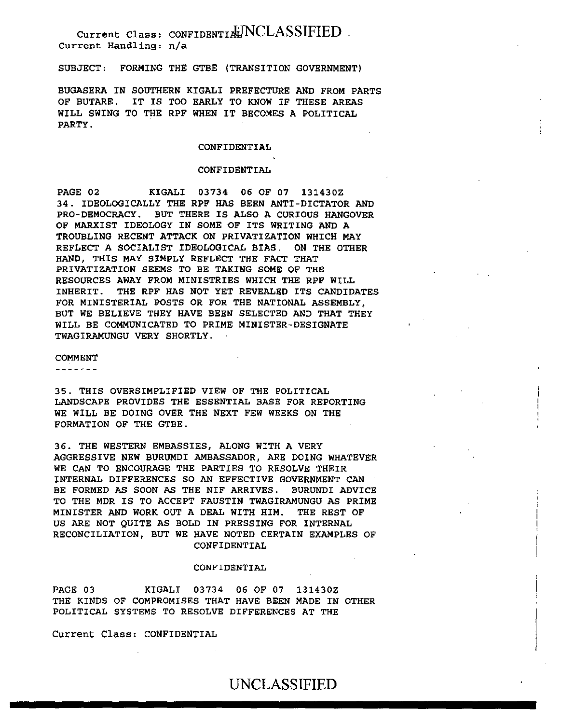SUBJECT: FORMING THE GTBE (TRANSITION GOVERNMENT)

BUGASERA IN SOUTHERN KIGALI PREFECTURE AND FROM PARTS OF BUTARE. IT IS TOO EARLY TO KNOW IF THESE AREAS WILL SWING TO THE RPF WHEN IT BECOMES A POLITICAL PARTY.

### CONFIDENTIAL

### CONFIDENTIAL

PAGE 02 KIGALI 03734 06 OF 07 131430Z 34. IDEOLOGICALLY THE RPF HAS BEEN ANTI-DICTATOR AND PRO-DEMOCRACY. BUT THERE IS ALSO A CURIOUS HANGOVER OF MARXIST IDEOLOGY IN SOME OF ITS WRITING AND A TROUBLING RECENT ATTACK ON PRIVATIZATION WHICH MAY REFLECT A SOCIALIST IDEOLOGICAL BIAS. ON THE OTHER HAND, THIS MAY SIMPLY REFLECT THE FACT THAT PRIVATIZATION SEEMS TO BE TAKING SOME OF THE RESOURCES AWAY FROM MINISTRIES WHICH THE RPF WILL INHERIT. THE RPF HAS NOT YET REVEALED ITS CANDIDATES FOR MINISTERIAL POSTS OR FOR THE NATIONAL ASSEMBLY, BUT WE BELIEVE THEY HAVE BEEN SELECTED AND THAT THEY WILL BE COMMUNICATED TO PRIME MINISTER-DESIGNATE TWAGIRAMUNGU VERY SHORTLY.

#### COMMENT

-------

35. THIS OVERSIMPLIFIED VIEW OF THE POLITICAL LANDSCAPE PROVIDES THE ESSENTIAL BASE FOR REPORTING WE WILL BE DOING OVER THE NEXT FEW WEEKS ON THE FORMATION OF THE GTBE.

36. THE WESTERN EMBASSIES, ALONG WITH A VERY AGGRESSIVE NEW BURUMDI AMBASSADOR, ARE DOING WHATEVER WE CAN TO ENCOURAGE THE PARTIES TO RESOLVE THEIR INTERNAL DIFFERENCES SO AN EFFECTIVE GOVERNMENT CAN BE FORMED AS SOON AS THE NIF ARRIVES. BURUNDI ADVICE TO THE MDR IS TO ACCEPT FAUSTIN TWAGIRAMUNGU AS PRIME MINISTER AND WORK OUT A DEAL WITH HIM. THE REST OF US ARE NOT QUITE AS BOLD IN PRESSING FOR INTERNAL RECONCILIATION, BUT WE HAVE NOTED CERTAIN EXAMPLES OF CONFIDENTIAL

#### CONFIDENTIAL

PAGE 03 KIGALI 03734 06 OF 07 131430Z THE KINDS OF COMPROMISES THAT HAVE BEEN MADE IN OTHER POLITICAL SYSTEMS TO RESOLVE DIFFERENCES AT THE

Current Class: CONFIDENTIAL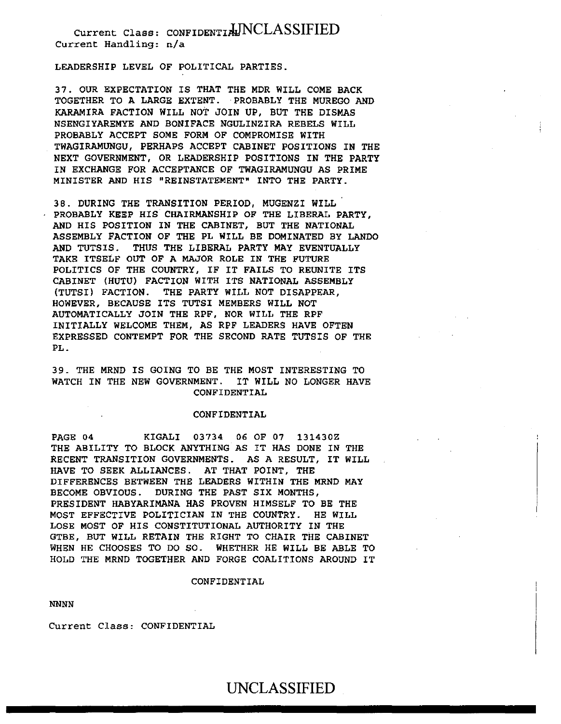LEADERSHIP LEVEL OF POLITICAL PARTIES.

37. OUR EXPECTATION IS THAT THE MDR WILL COME BACK TOGETHER TO A LARGE EXTENT. ·PROBABLY THE MUREGO AND KARAMIRA FACTION WILL NOT JOIN UP, BUT THE DISMAS NSENGIYAREMYE AND BONIFACE NGULINZIRA REBELS WILL PROBABLY ACCEPT SOME FORM OF COMPROMISE WITH TWAGIRAMUNGU, PERHAPS ACCEPT CABINET POSITIONS IN THE NEXT GOVERNMENT, OR LEADERSHIP POSITIONS IN THE PARTY IN EXCHANGE FOR ACCEPTANCE OF TWAGIRAMUNGU AS PRIME MINISTER AND HIS "REINSTATEMENT" INTO THE PARTY.

38. DURING THE TRANSITION PERIOD, MUGENZI WILL PROBABLY KEEP HIS CHAIRMANSHIP OF THE LIBERAL PARTY, AND HIS POSITION IN THE CABINET, BUT THE NATIONAL ASSEMBLY FACTION OF THE PL WILL BE DOMINATED BY LANDO AND TUTSIS. THUS THE LIBERAL PARTY MAY EVENTUALLY TAKE ITSELF OUT OF A MAJOR ROLE IN THE FUTURE POLITICS OF THE COUNTRY, IF IT FAILS TO REUNITE ITS CABINET (HUTU) FACTION WITH ITS NATIONAL ASSEMBLY (TUTSI) FACTION. THE PARTY WILL NOT DISAPPEAR, HOWEVER, BECAUSE ITS TUTSI MEMBERS WILL NOT AUTOMATICALLY JOIN THE RPF, NOR WILL THE RPF INITIALLY WELCOME THEM, AS RPF LEADERS HAVE OFTEN EXPRESSED CONTEMPT FOR THE SECOND RATE TUTSIS OF THE PL.

39. THE MRND IS GOING TO BE THE MOST INTERESTING TO WATCH IN THE NEW GOVERNMENT. IT WILL NO LONGER HAVE CONFIDENTIAL

### CONFIDENTIAL

PAGE 04 KIGALI 03734 06 OF 07 131430Z THE ABILITY TO BLOCK ANYTHING AS IT HAS DONE IN THE RECENT TRANSITION GOVERNMENTS. AS A RESULT, IT WILL HAVE TO SEEK ALLIANCES. AT THAT POINT, THE DIFFERENCES BETWEEN THE LEADERS WITHIN THE MRND MAY BECOME OBVIOUS. DURING THE PAST SIX MONTHS, PRESIDENT HABYARIMANA HAS PROVEN HIMSELF TO BE THE MOST EFFECTIVE POLITICIAN IN THE COUNTRY. HE WILL LOSE MOST OF HIS CONSTITUTIONAL AUTHORITY IN THE GTBE, BUT WILL RETAIN THE RIGHT TO CHAIR THE CABINET WHEN HE CHOOSES TO DO SO. WHETHER HE WILL BE ABLE TO HOLD THE MRND TOGETHER AND FORGE COALITIONS AROUND IT

#### CONFIDENTIAL

NNNN

Current Class: CONFIDENTIAL